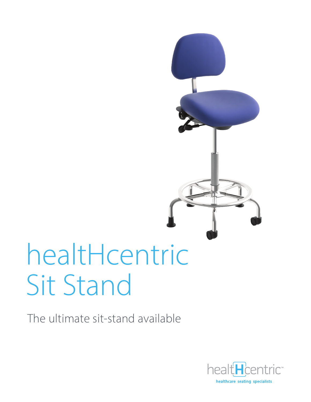# healtHcentric Sit Stand

The ultimate sit-stand available